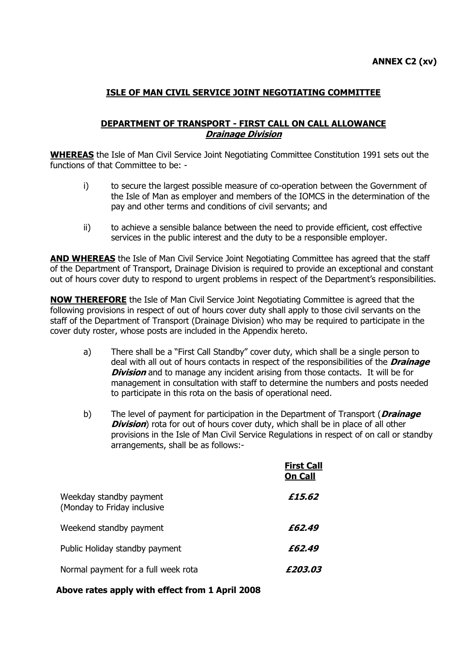# **ISLE OF MAN CIVIL SERVICE JOINT NEGOTIATING COMMITTEE**

## **DEPARTMENT OF TRANSPORT - FIRST CALL ON CALL ALLOWANCE Drainage Division**

**WHEREAS** the Isle of Man Civil Service Joint Negotiating Committee Constitution 1991 sets out the functions of that Committee to be: -

- i) to secure the largest possible measure of co-operation between the Government of the Isle of Man as employer and members of the IOMCS in the determination of the pay and other terms and conditions of civil servants; and
- ii) to achieve a sensible balance between the need to provide efficient, cost effective services in the public interest and the duty to be a responsible employer.

**AND WHEREAS** the Isle of Man Civil Service Joint Negotiating Committee has agreed that the staff of the Department of Transport, Drainage Division is required to provide an exceptional and constant out of hours cover duty to respond to urgent problems in respect of the Department's responsibilities.

**NOW THEREFORE** the Isle of Man Civil Service Joint Negotiating Committee is agreed that the following provisions in respect of out of hours cover duty shall apply to those civil servants on the staff of the Department of Transport (Drainage Division) who may be required to participate in the cover duty roster, whose posts are included in the Appendix hereto.

- a) There shall be a "First Call Standby" cover duty, which shall be a single person to deal with all out of hours contacts in respect of the responsibilities of the **Drainage Division** and to manage any incident arising from those contacts. It will be for management in consultation with staff to determine the numbers and posts needed to participate in this rota on the basis of operational need.
- b) The level of payment for participation in the Department of Transport (**Drainage Division**) rota for out of hours cover duty, which shall be in place of all other provisions in the Isle of Man Civil Service Regulations in respect of on call or standby arrangements, shall be as follows:-

|                                                        | <b>First Call</b><br><b>On Call</b> |
|--------------------------------------------------------|-------------------------------------|
| Weekday standby payment<br>(Monday to Friday inclusive | £15.62                              |
| Weekend standby payment                                | £62.49                              |
| Public Holiday standby payment                         | £62.49                              |
| Normal payment for a full week rota                    | £203.03                             |

#### **Above rates apply with effect from 1 April 2008**